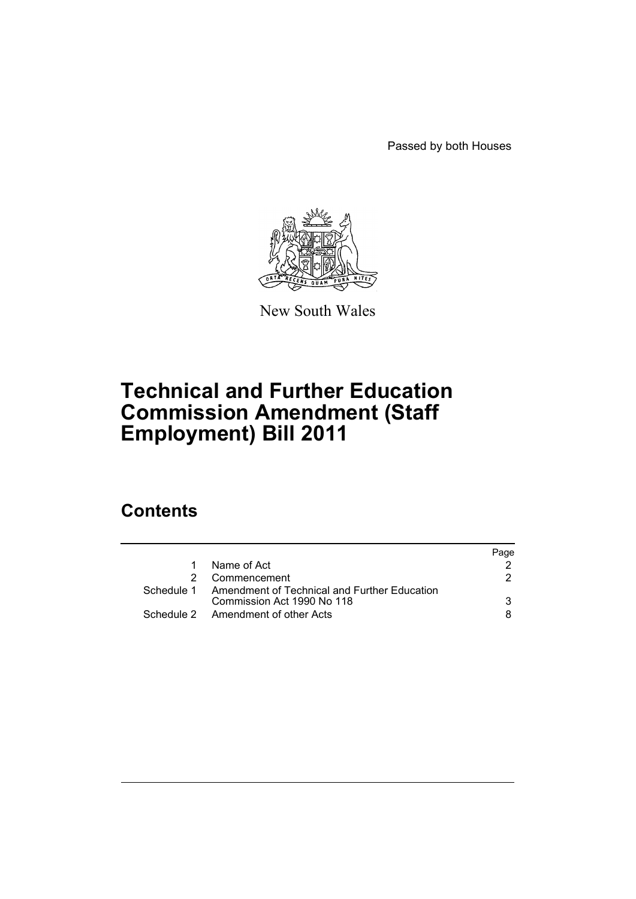Passed by both Houses



New South Wales

# **Technical and Further Education Commission Amendment (Staff Employment) Bill 2011**

# **Contents**

|   |                                                                                       | Page |
|---|---------------------------------------------------------------------------------------|------|
| 1 | Name of Act                                                                           |      |
|   | Commencement                                                                          | 2    |
|   | Schedule 1 Amendment of Technical and Further Education<br>Commission Act 1990 No 118 | 3    |
|   | Schedule 2 Amendment of other Acts                                                    | 8.   |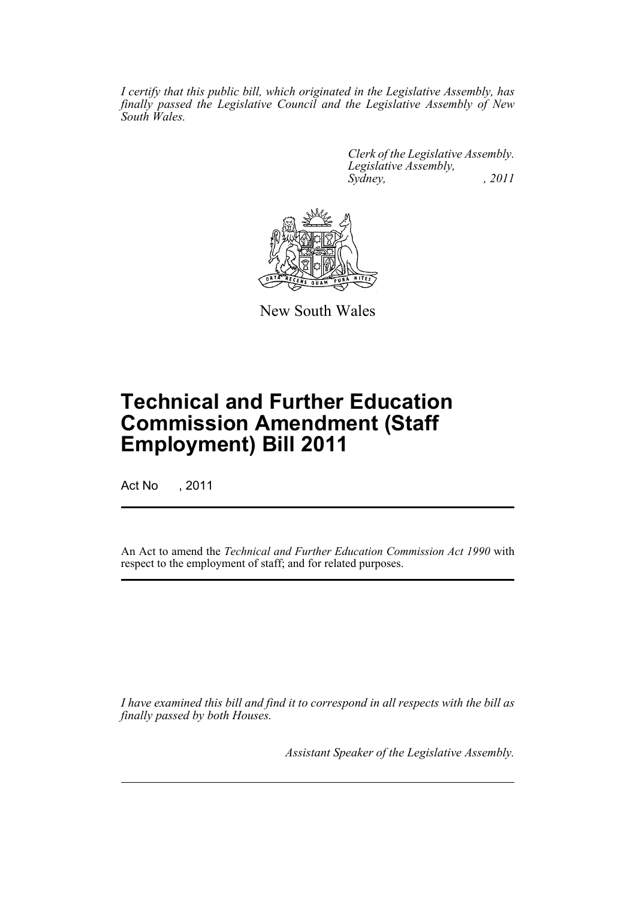*I certify that this public bill, which originated in the Legislative Assembly, has finally passed the Legislative Council and the Legislative Assembly of New South Wales.*

> *Clerk of the Legislative Assembly. Legislative Assembly, Sydney, , 2011*



New South Wales

# **Technical and Further Education Commission Amendment (Staff Employment) Bill 2011**

Act No , 2011

An Act to amend the *Technical and Further Education Commission Act 1990* with respect to the employment of staff; and for related purposes.

*I have examined this bill and find it to correspond in all respects with the bill as finally passed by both Houses.*

*Assistant Speaker of the Legislative Assembly.*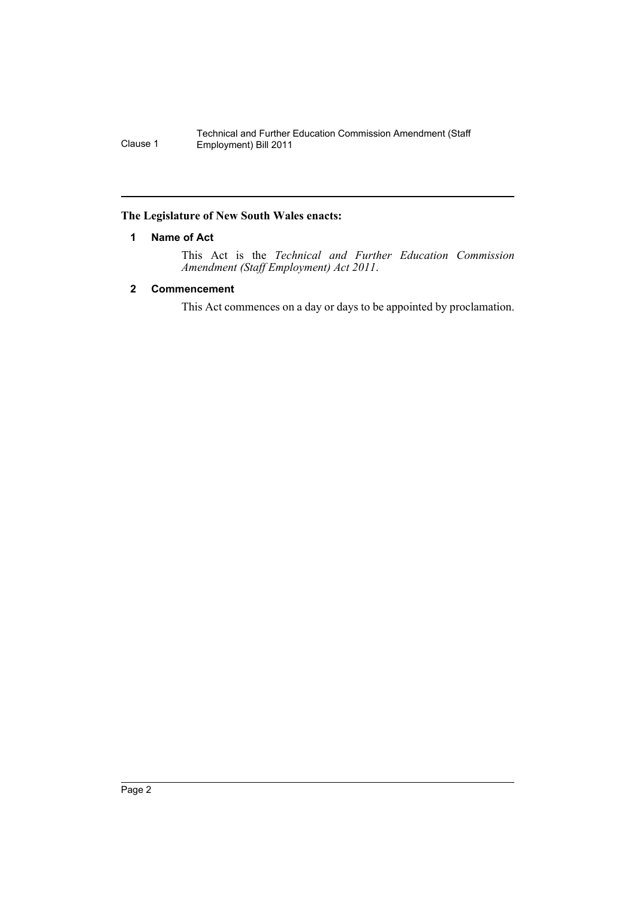#### <span id="page-2-0"></span>**The Legislature of New South Wales enacts:**

## **1 Name of Act**

This Act is the *Technical and Further Education Commission Amendment (Staff Employment) Act 2011*.

## <span id="page-2-1"></span>**2 Commencement**

This Act commences on a day or days to be appointed by proclamation.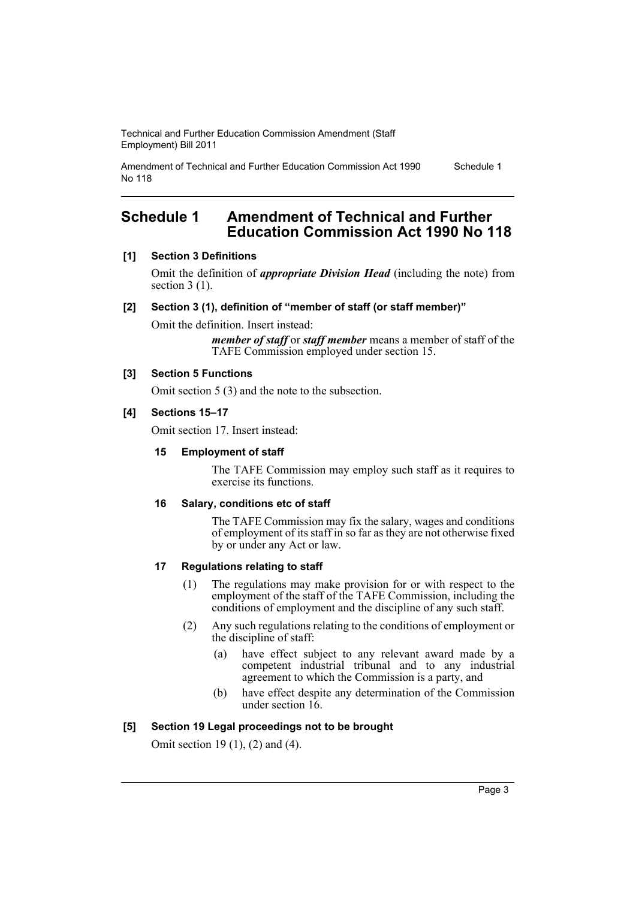Amendment of Technical and Further Education Commission Act 1990 No 118 Schedule 1

# <span id="page-3-0"></span>**Schedule 1 Amendment of Technical and Further Education Commission Act 1990 No 118**

## **[1] Section 3 Definitions**

Omit the definition of *appropriate Division Head* (including the note) from section 3 (1).

#### **[2] Section 3 (1), definition of "member of staff (or staff member)"**

Omit the definition. Insert instead:

*member of staff* or *staff member* means a member of staff of the TAFE Commission employed under section 15.

#### **[3] Section 5 Functions**

Omit section 5 (3) and the note to the subsection.

#### **[4] Sections 15–17**

Omit section 17. Insert instead:

#### **15 Employment of staff**

The TAFE Commission may employ such staff as it requires to exercise its functions.

#### **16 Salary, conditions etc of staff**

The TAFE Commission may fix the salary, wages and conditions of employment of its staff in so far as they are not otherwise fixed by or under any Act or law.

#### **17 Regulations relating to staff**

- (1) The regulations may make provision for or with respect to the employment of the staff of the TAFE Commission, including the conditions of employment and the discipline of any such staff.
- (2) Any such regulations relating to the conditions of employment or the discipline of staff:
	- (a) have effect subject to any relevant award made by a competent industrial tribunal and to any industrial agreement to which the Commission is a party, and
	- (b) have effect despite any determination of the Commission under section 16.

#### **[5] Section 19 Legal proceedings not to be brought**

Omit section 19 (1), (2) and (4).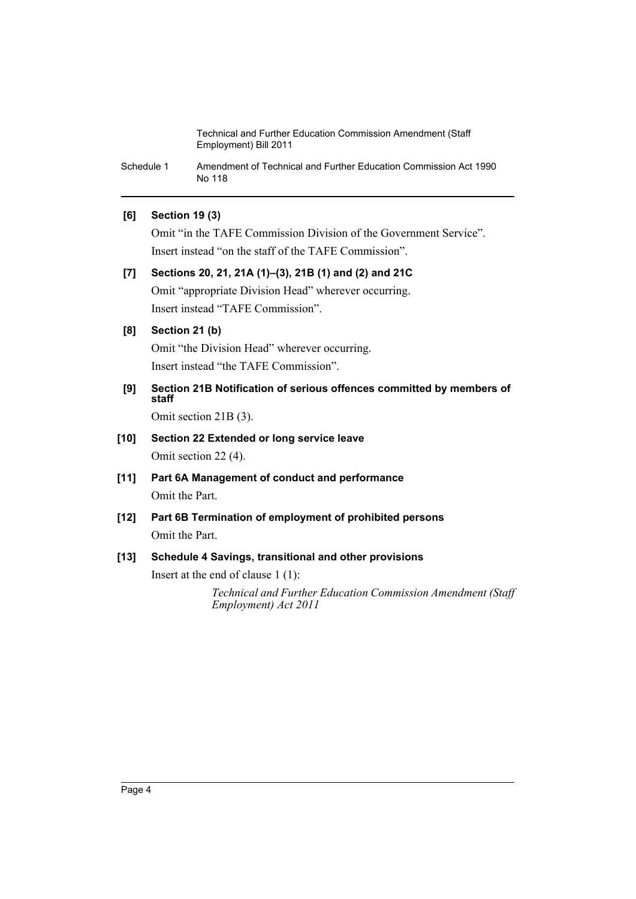Schedule 1 Amendment of Technical and Further Education Commission Act 1990 No 118

## **[6] Section 19 (3)**

Omit "in the TAFE Commission Division of the Government Service". Insert instead "on the staff of the TAFE Commission".

# **[7] Sections 20, 21, 21A (1)–(3), 21B (1) and (2) and 21C** Omit "appropriate Division Head" wherever occurring. Insert instead "TAFE Commission".

## **[8] Section 21 (b)**

Omit "the Division Head" wherever occurring. Insert instead "the TAFE Commission".

**[9] Section 21B Notification of serious offences committed by members of staff**

Omit section 21B (3).

- **[10] Section 22 Extended or long service leave** Omit section 22 (4).
- **[11] Part 6A Management of conduct and performance** Omit the Part.
- **[12] Part 6B Termination of employment of prohibited persons** Omit the Part.

## **[13] Schedule 4 Savings, transitional and other provisions**

Insert at the end of clause 1 (1):

*Technical and Further Education Commission Amendment (Staff Employment) Act 2011*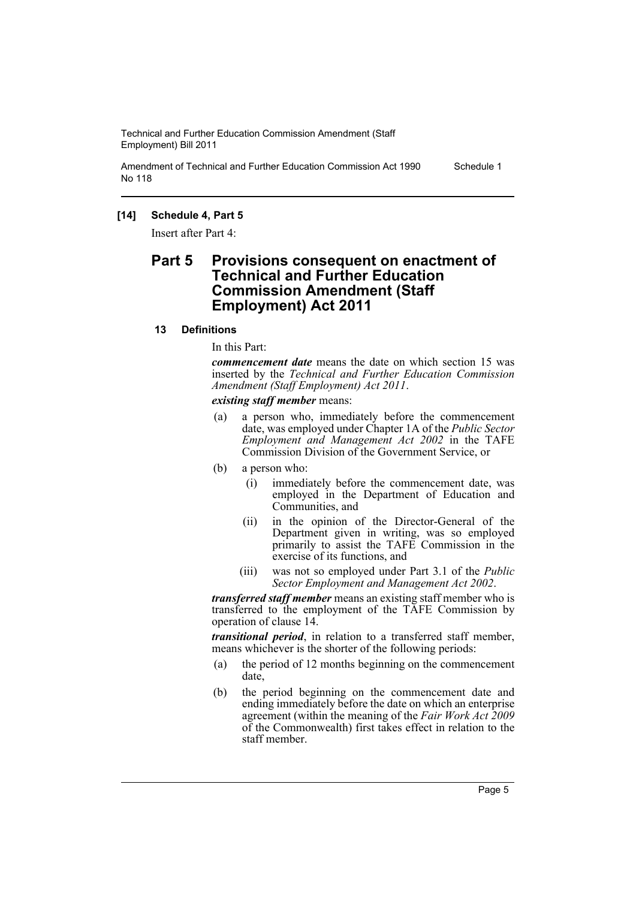Amendment of Technical and Further Education Commission Act 1990 No 118 Schedule 1

### **[14] Schedule 4, Part 5**

Insert after Part 4:

# **Part 5 Provisions consequent on enactment of Technical and Further Education Commission Amendment (Staff Employment) Act 2011**

#### **13 Definitions**

In this Part:

*commencement date* means the date on which section 15 was inserted by the *Technical and Further Education Commission Amendment (Staff Employment) Act 2011*.

*existing staff member* means:

- (a) a person who, immediately before the commencement date, was employed under Chapter 1A of the *Public Sector Employment and Management Act 2002* in the TAFE Commission Division of the Government Service, or
- (b) a person who:
	- (i) immediately before the commencement date, was employed in the Department of Education and Communities, and
	- (ii) in the opinion of the Director-General of the Department given in writing, was so employed primarily to assist the TAFE Commission in the exercise of its functions, and
	- (iii) was not so employed under Part 3.1 of the *Public Sector Employment and Management Act 2002*.

*transferred staff member* means an existing staff member who is transferred to the employment of the TAFE Commission by operation of clause 14.

*transitional period*, in relation to a transferred staff member, means whichever is the shorter of the following periods:

- (a) the period of 12 months beginning on the commencement date,
- (b) the period beginning on the commencement date and ending immediately before the date on which an enterprise agreement (within the meaning of the *Fair Work Act 2009* of the Commonwealth) first takes effect in relation to the staff member.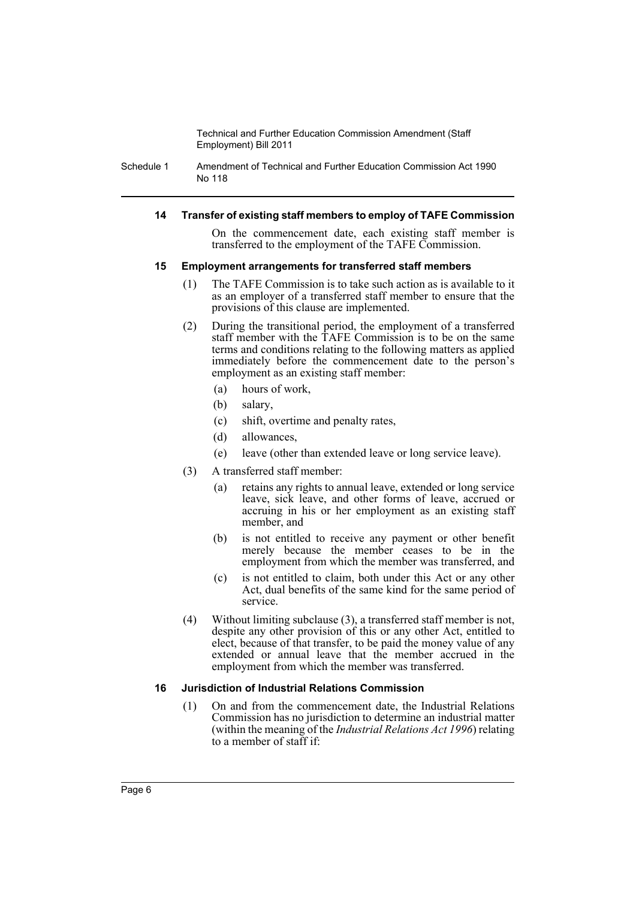Schedule 1 Amendment of Technical and Further Education Commission Act 1990 No 118

#### **14 Transfer of existing staff members to employ of TAFE Commission**

On the commencement date, each existing staff member is transferred to the employment of the TAFE Commission.

#### **15 Employment arrangements for transferred staff members**

- (1) The TAFE Commission is to take such action as is available to it as an employer of a transferred staff member to ensure that the provisions of this clause are implemented.
- (2) During the transitional period, the employment of a transferred staff member with the TAFE Commission is to be on the same terms and conditions relating to the following matters as applied immediately before the commencement date to the person's employment as an existing staff member:
	- (a) hours of work,
	- (b) salary,
	- (c) shift, overtime and penalty rates,
	- (d) allowances,
	- (e) leave (other than extended leave or long service leave).
- (3) A transferred staff member:
	- (a) retains any rights to annual leave, extended or long service leave, sick leave, and other forms of leave, accrued or accruing in his or her employment as an existing staff member, and
	- (b) is not entitled to receive any payment or other benefit merely because the member ceases to be in the employment from which the member was transferred, and
	- (c) is not entitled to claim, both under this Act or any other Act, dual benefits of the same kind for the same period of service.
- (4) Without limiting subclause (3), a transferred staff member is not, despite any other provision of this or any other Act, entitled to elect, because of that transfer, to be paid the money value of any extended or annual leave that the member accrued in the employment from which the member was transferred.

#### **16 Jurisdiction of Industrial Relations Commission**

(1) On and from the commencement date, the Industrial Relations Commission has no jurisdiction to determine an industrial matter (within the meaning of the *Industrial Relations Act 1996*) relating to a member of staff if: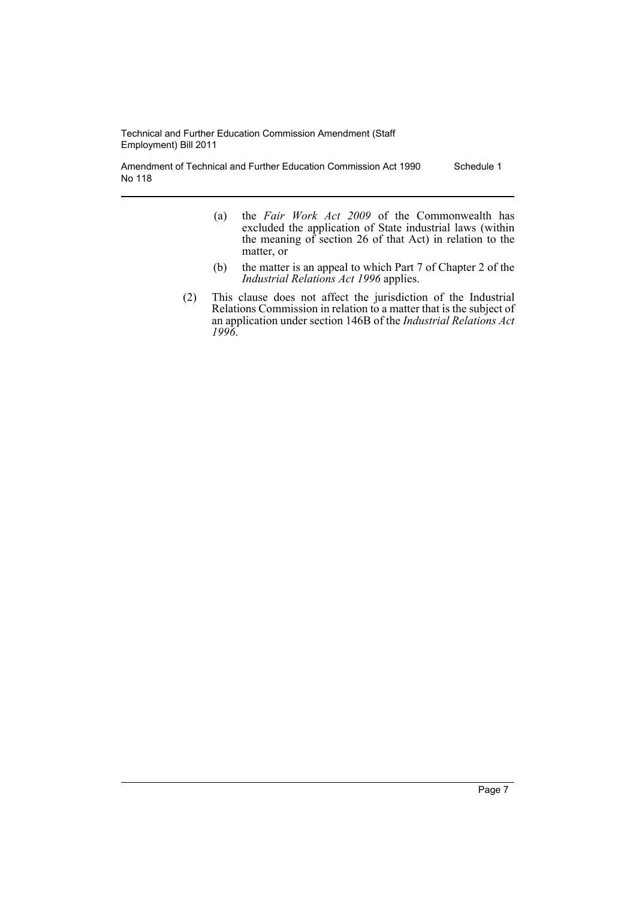Amendment of Technical and Further Education Commission Act 1990 No 118 Schedule 1

- (a) the *Fair Work Act 2009* of the Commonwealth has excluded the application of State industrial laws (within the meaning of section 26 of that Act) in relation to the matter, or
- (b) the matter is an appeal to which Part 7 of Chapter 2 of the *Industrial Relations Act 1996* applies.
- (2) This clause does not affect the jurisdiction of the Industrial Relations Commission in relation to a matter that is the subject of an application under section 146B of the *Industrial Relations Act 1996*.